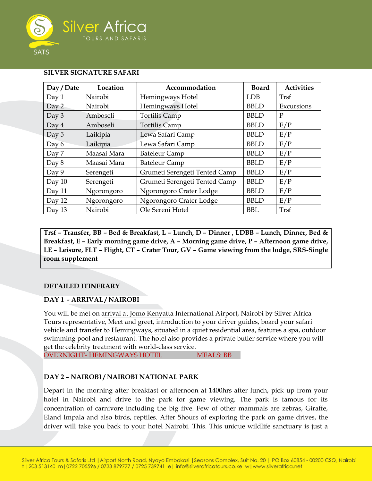

### **SILVER SIGNATURE SAFARI**

| Day / Date | Location    | Accommodation                 | <b>Board</b> | <b>Activities</b> |
|------------|-------------|-------------------------------|--------------|-------------------|
| Day 1      | Nairobi     | Hemingways Hotel              | <b>LDB</b>   | Trsf              |
| Day 2      | Nairobi     | Hemingways Hotel              | <b>BBLD</b>  | Excursions        |
| Day $3$    | Amboseli    | <b>Tortilis Camp</b>          | <b>BBLD</b>  | P                 |
| Day 4      | Amboseli    | <b>Tortilis Camp</b>          | <b>BBLD</b>  | E/P               |
| Day 5      | Laikipia    | Lewa Safari Camp              | <b>BBLD</b>  | E/P               |
| Day 6      | Laikipia    | Lewa Safari Camp              | <b>BBLD</b>  | E/P               |
| Day 7      | Maasai Mara | <b>Bateleur Camp</b>          | <b>BBLD</b>  | E/P               |
| Day 8      | Maasai Mara | <b>Bateleur Camp</b>          | <b>BBLD</b>  | E/P               |
| Day 9      | Serengeti   | Grumeti Serengeti Tented Camp | <b>BBLD</b>  | E/P               |
| Day $10$   | Serengeti   | Grumeti Serengeti Tented Camp | <b>BBLD</b>  | E/P               |
| Day 11     | Ngorongoro  | Ngorongoro Crater Lodge       | <b>BBLD</b>  | E/P               |
| Day 12     | Ngorongoro  | Ngorongoro Crater Lodge       | <b>BBLD</b>  | E/P               |
| Day $13$   | Nairobi     | Ole Sereni Hotel              | <b>BBL</b>   | Trsf              |

**Trsf – Transfer, BB – Bed & Breakfast, L – Lunch, D – Dinner , LDBB – Lunch, Dinner, Bed & Breakfast, E – Early morning game drive, A – Morning game drive, P – Afternoon game drive, LE – Leisure, FLT – Flight, CT – Crater Tour, GV – Game viewing from the lodge, SRS-Single room supplement**

### **DETAILED ITINERARY**

# **DAY 1 - ARRIVAL / NAIROBI**

You will be met on arrival at Jomo Kenyatta International Airport, Nairobi by Silver Africa Tours representative, Meet and greet, introduction to your driver guides, board your safari vehicle and transfer to Hemingways, situated in a quiet residential area, features a spa, outdoor swimming pool and restaurant. The hotel also provides a private butler service where you will get the celebrity treatment with world-class service. OVERNIGHT- HEMINGWAYS HOTEL MEALS: BB

### **DAY 2 – NAIROBI / NAIROBI NATIONAL PARK**

Depart in the morning after breakfast or afternoon at 1400hrs after lunch, pick up from your hotel in Nairobi and drive to the park for game viewing. The park is famous for its concentration of carnivore including the big five. Few of other mammals are zebras, Giraffe, Eland Impala and also birds, reptiles. After 5hours of exploring the park on game drives, the driver will take you back to your hotel Nairobi. This. This unique wildlife sanctuary is just a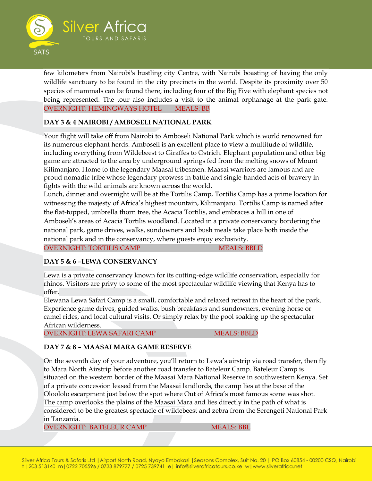

few kilometers from Nairobi's bustling city Centre, with Nairobi boasting of having the only wildlife sanctuary to be found in the city precincts in the world. Despite its proximity over 50 species of mammals can be found there, including four of the Big Five with elephant species not being represented. The tour also includes a visit to the animal orphanage at the park gate. OVERNIGHT: HEMINGWAYS HOTEL MEALS: BB

# **DAY 3 & 4 NAIROBI / AMBOSELI NATIONAL PARK**

Your flight will take off from Nairobi to Amboseli National Park which is world renowned for its numerous elephant herds. Amboseli is an excellent place to view a multitude of wildlife, including everything from Wildebeest to Giraffes to Ostrich. Elephant population and other big game are attracted to the area by underground springs fed from the melting snows of Mount Kilimanjaro. Home to the legendary Maasai tribesmen. Maasai warriors are famous and are proud nomadic tribe whose legendary prowess in battle and single-handed acts of bravery in fights with the wild animals are known across the world.

Lunch, dinner and overnight will be at the Tortilis Camp, Tortilis Camp has a prime location for witnessing the majesty of Africa's highest mountain, Kilimanjaro. Tortilis Camp is named after the flat-topped, umbrella thorn tree, the Acacia Tortilis, and embraces a hill in one of Amboseli's areas of Acacia Tortilis woodland. Located in a private conservancy bordering the national park, game drives, walks, sundowners and bush meals take place both inside the national park and in the conservancy, where guests enjoy exclusivity. OVERNIGHT: TORTILIS CAMP MEALS: BBLD

# **DAY 5 & 6 –LEWA CONSERVANCY**

Lewa is a private conservancy known for its cutting-edge wildlife conservation, especially for rhinos. Visitors are privy to some of the most spectacular wildlife viewing that Kenya has to offer.

Elewana Lewa Safari Camp is a small, comfortable and relaxed retreat in the heart of the park. Experience game drives, guided walks, bush breakfasts and sundowners, evening horse or camel rides, and local cultural visits. Or simply relax by the pool soaking up the spectacular African wilderness.

OVERNIGHT: LEWA SAFARI CAMP MEALS: BBLD

# **DAY 7 & 8 – MAASAI MARA GAME RESERVE**

On the seventh day of your adventure, you'll return to Lewa's airstrip via road transfer, then fly to Mara North Airstrip before another road transfer to Bateleur Camp. Bateleur Camp is situated on the western border of the Maasai Mara National Reserve in southwestern Kenya. Set of a private concession leased from the Maasai landlords, the camp lies at the base of the Oloololo escarpment just below the spot where Out of Africa's most famous scene was shot. The camp overlooks the plains of the Maasai Mara and lies directly in the path of what is considered to be the greatest spectacle of wildebeest and zebra from the Serengeti National Park in Tanzania.

OVERNIGHT: BATELEUR CAMP MEALS: BBL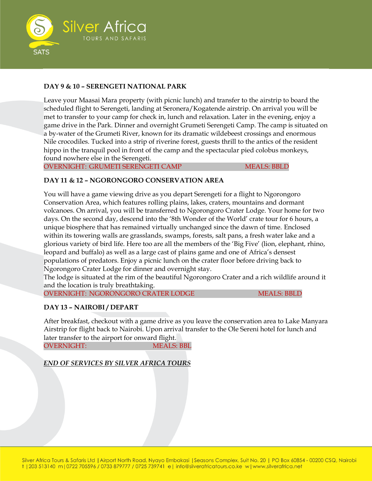

# **DAY 9 & 10 – SERENGETI NATIONAL PARK**

Leave your Maasai Mara property (with picnic lunch) and transfer to the airstrip to board the scheduled flight to Serengeti, landing at Seronera/Kogatende airstrip. On arrival you will be met to transfer to your camp for check in, lunch and relaxation. Later in the evening, enjoy a game drive in the Park. Dinner and overnight Grumeti Serengeti Camp. The camp is situated on a by-water of the Grumeti River, known for its dramatic wildebeest crossings and enormous Nile crocodiles. Tucked into a strip of riverine forest, guests thrill to the antics of the resident hippo in the tranquil pool in front of the camp and the spectacular pied colobus monkeys, found nowhere else in the Serengeti.

OVERNIGHT: GRUMETI SERENGETI CAMP MEALS: BBLD

# **DAY 11 & 12 – NGORONGORO CONSERVATION AREA**

You will have a game viewing drive as you depart Serengeti for a flight to Ngorongoro Conservation Area, which features rolling plains, lakes, craters, mountains and dormant volcanoes. On arrival, you will be transferred to Ngorongoro Crater Lodge. Your home for two days. On the second day, descend into the '8th Wonder of the World' crate tour for 6 hours, a unique biosphere that has remained virtually unchanged since the dawn of time. Enclosed within its towering walls are grasslands, swamps, forests, salt pans, a fresh water lake and a glorious variety of bird life. Here too are all the members of the 'Big Five' (lion, elephant, rhino, leopard and buffalo) as well as a large cast of plains game and one of Africa's densest populations of predators. Enjoy a picnic lunch on the crater floor before driving back to Ngorongoro Crater Lodge for dinner and overnight stay.

The lodge is situated at the rim of the beautiful Ngorongoro Crater and a rich wildlife around it and the location is truly breathtaking.

OVERNIGHT: NGORONGORO CRATER LODGE MEALS: BBLD

# **DAY 13 – NAIROBI / DEPART**

After breakfast, checkout with a game drive as you leave the conservation area to Lake Manyara Airstrip for flight back to Nairobi. Upon arrival transfer to the Ole Sereni hotel for lunch and later transfer to the airport for onward flight.

OVERNIGHT: MEALS: BBL

*END OF SERVICES BY SILVER AFRICA TOURS*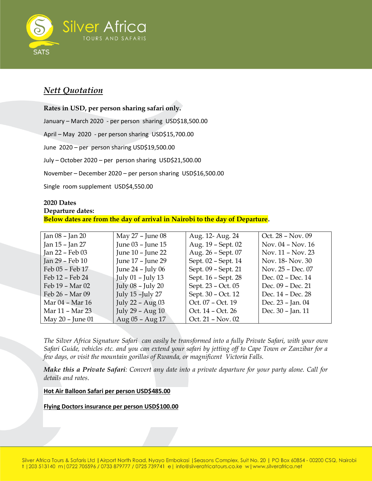

# *Nett Quotation*

**Rates in USD, per person sharing safari only.** January – March 2020 - per person sharing USD\$18,500.00 April – May 2020 - per person sharing USD\$15,700.00 June 2020 – per person sharing USD\$19,500.00 July – October 2020 – per person sharing USD\$21,500.00 November – December 2020 – per person sharing USD\$16,500.00 Single room supplement USD\$4,550.00

### **2020 Dates Departure dates: Below dates are from the day of arrival in Nairobi to the day of Departure.**

| Jan 08 – Jan 20  | May 27 - June 08      | Aug. 12- Aug. 24    | Oct. 28 - Nov. 09   |
|------------------|-----------------------|---------------------|---------------------|
| Jan 15 - Jan 27  | June 03 - June 15     | Aug. 19 - Sept. 02  | Nov. $04 - Nov. 16$ |
| Jan 22 - Feb 03  | June 10 - June 22     | Aug. 26 - Sept. 07  | Nov. 11 - Nov. 23   |
| Jan 29 - Feb 10  | June 17 - June 29     | Sept. 02 - Sept. 14 | Nov. 18- Nov. 30    |
| Feb 05 - Feb 17  | June $24$ – July 06   | Sept. 09 - Sept. 21 | Nov. 25 - Dec. 07   |
| Feb 12 - Feb 24  | July $01$ – July 13   | Sept. 16 - Sept. 28 | Dec. 02 - Dec. 14   |
| Feb 19 - Mar 02  | July $08$ – July $20$ | Sept. 23 - Oct. 05  | Dec. 09 - Dec. 21   |
| Feb 26 – Mar 09  | July 15 - July 27     | Sept. 30 - Oct. 12  | Dec. 14 - Dec. 28   |
| Mar 04 - Mar 16  | July 22 - Aug 03      | Oct. 07 - Oct. 19   | Dec. 23 - Jan. 04   |
| Mar 11 - Mar 23  | July 29 - Aug 10      | Oct. 14 - Oct. 26   | Dec. 30 - Jan. 11   |
| May 20 - June 01 | Aug $05 - Aug 17$     | Oct. 21 - Nov. 02   |                     |

*The Silver Africa Signature Safari can easily be transformed into a fully Private Safari, with your own Safari Guide, vehicles etc. and you can extend your safari by jetting off to Cape Town or Zanzibar for a few days, or visit the mountain gorillas of Rwanda, or magnificent Victoria Falls.*

*Make this a Private Safari: Convert any date into a private departure for your party alone. Call for details and rates*.

### **Hot Air Balloon Safari per person USD\$485.00**

**Flying Doctors insurance per person USD\$100.00**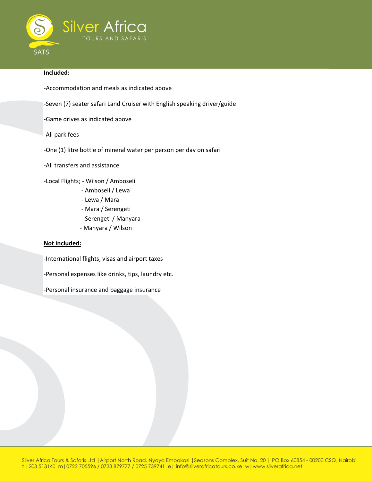

### **Included:**

- -Accommodation and meals as indicated above
- -Seven (7) seater safari Land Cruiser with English speaking driver/guide
- -Game drives as indicated above
- -All park fees
- -One (1) litre bottle of mineral water per person per day on safari
- -All transfers and assistance
- -Local Flights; Wilson / Amboseli
	- Amboseli / Lewa
	- Lewa / Mara
	- Mara / Serengeti
	- Serengeti / Manyara
	- Manyara / Wilson

#### **Not included:**

-International flights, visas and airport taxes

-Personal expenses like drinks, tips, laundry etc.

-Personal insurance and baggage insurance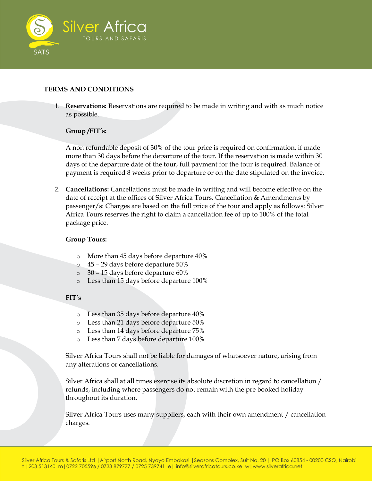

# **TERMS AND CONDITIONS**

1. **Reservations:** Reservations are required to be made in writing and with as much notice as possible.

# **Group /FIT's:**

A non refundable deposit of 30% of the tour price is required on confirmation, if made more than 30 days before the departure of the tour. If the reservation is made within 30 days of the departure date of the tour, full payment for the tour is required. Balance of payment is required 8 weeks prior to departure or on the date stipulated on the invoice.

2. **Cancellations:** Cancellations must be made in writing and will become effective on the date of receipt at the offices of Silver Africa Tours. Cancellation & Amendments by passenger/s: Charges are based on the full price of the tour and apply as follows: Silver Africa Tours reserves the right to claim a cancellation fee of up to 100% of the total package price.

### **Group Tours:**

- o More than 45 days before departure 40%
- o 45 29 days before departure 50%
- o 30 15 days before departure 60%
- o Less than 15 days before departure 100%

# **FIT's**

- o Less than 35 days before departure 40%
- o Less than 21 days before departure 50%
- o Less than 14 days before departure 75%
- o Less than 7 days before departure 100%

Silver Africa Tours shall not be liable for damages of whatsoever nature, arising from any alterations or cancellations.

Silver Africa shall at all times exercise its absolute discretion in regard to cancellation / refunds, including where passengers do not remain with the pre booked holiday throughout its duration.

Silver Africa Tours uses many suppliers, each with their own amendment / cancellation charges.